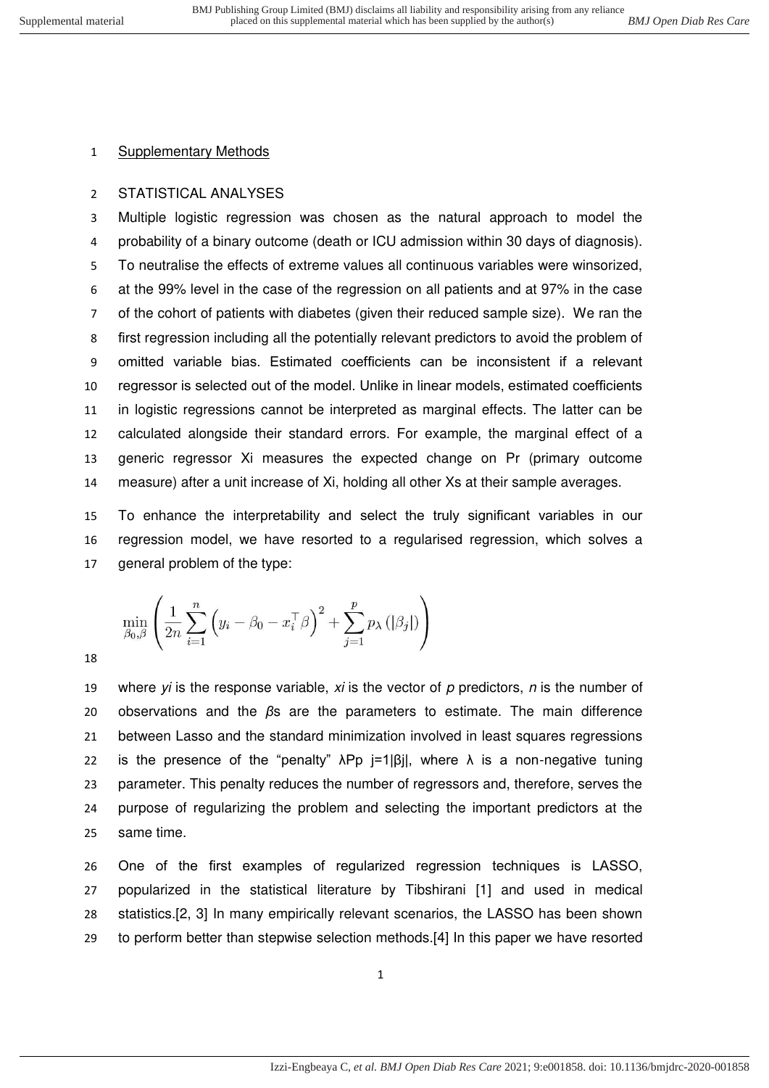### STATISTICAL ANALYSES

 Multiple logistic regression was chosen as the natural approach to model the probability of a binary outcome (death or ICU admission within 30 days of diagnosis). To neutralise the effects of extreme values all continuous variables were winsorized, at the 99% level in the case of the regression on all patients and at 97% in the case of the cohort of patients with diabetes (given their reduced sample size). We ran the first regression including all the potentially relevant predictors to avoid the problem of omitted variable bias. Estimated coefficients can be inconsistent if a relevant regressor is selected out of the model. Unlike in linear models, estimated coefficients in logistic regressions cannot be interpreted as marginal effects. The latter can be calculated alongside their standard errors. For example, the marginal effect of a generic regressor Xi measures the expected change on Pr (primary outcome measure) after a unit increase of Xi, holding all other Xs at their sample averages.

 To enhance the interpretability and select the truly significant variables in our regression model, we have resorted to a regularised regression, which solves a general problem of the type:

$$
\min_{\beta_0, \beta} \left( \frac{1}{2n} \sum_{i=1}^n \left( y_i - \beta_0 - x_i^\top \beta \right)^2 + \sum_{j=1}^p p_\lambda \left( \left| \beta_j \right| \right) \right)
$$

 where *yi* is the response variable, *xi* is the vector of *p* predictors, *n* is the number of observations and the *β*s are the parameters to estimate. The main difference between Lasso and the standard minimization involved in least squares regressions 22 is the presence of the "penalty"  $\lambda$ Pp j=1|βj|, where  $\lambda$  is a non-negative tuning parameter. This penalty reduces the number of regressors and, therefore, serves the purpose of regularizing the problem and selecting the important predictors at the same time.

 One of the first examples of regularized regression techniques is LASSO, popularized in the statistical literature by Tibshirani [1] and used in medical statistics.[2, 3] In many empirically relevant scenarios, the LASSO has been shown to perform better than stepwise selection methods.[4] In this paper we have resorted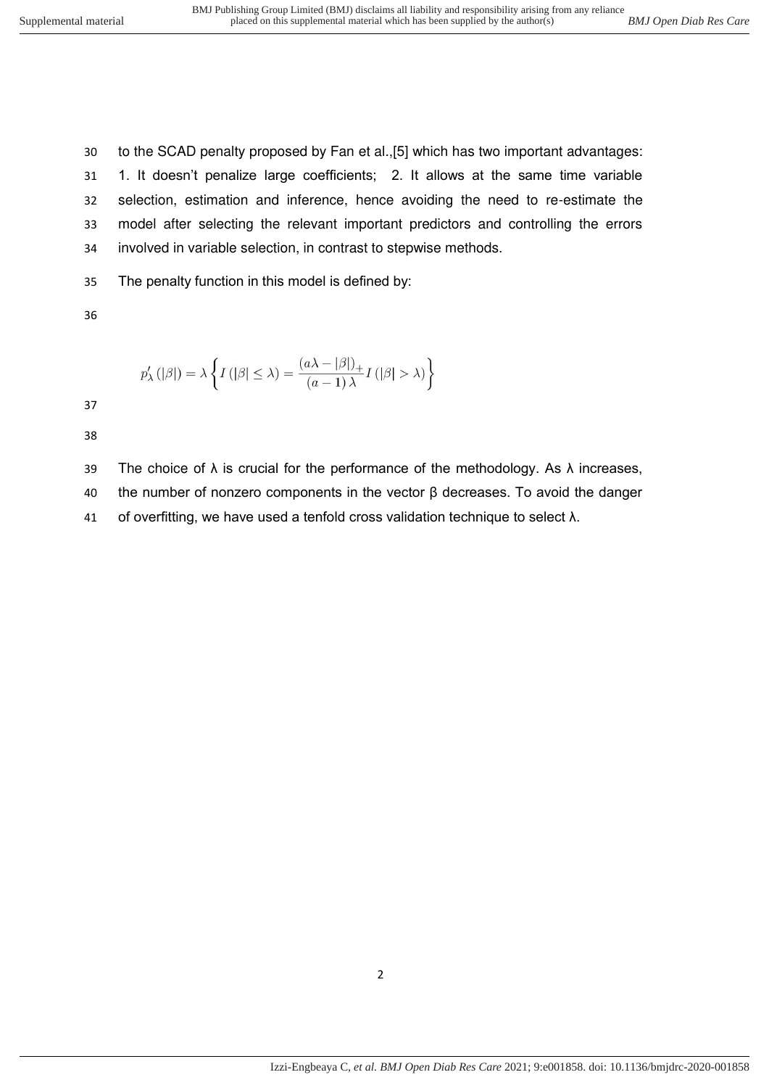to the SCAD penalty proposed by Fan et al.,[5] which has two important advantages: 1. It doesn't penalize large coefficients; 2. It allows at the same time variable selection, estimation and inference, hence avoiding the need to re-estimate the model after selecting the relevant important predictors and controlling the errors involved in variable selection, in contrast to stepwise methods.

The penalty function in this model is defined by:

$$
p_{\lambda}'\left( \left| \beta \right| \right) = \lambda \left\{ I\left( \left| \beta \right| \leq \lambda \right) = \frac{\left( a\lambda - \left| \beta \right| \right)_{+}}{\left( a - 1\right) \lambda} I\left( \left| \beta \right| > \lambda \right) \right\}
$$

39 The choice of  $\lambda$  is crucial for the performance of the methodology. As  $\lambda$  increases, the number of nonzero components in the vector β decreases. To avoid the danger of overfitting, we have used a tenfold cross validation technique to select λ.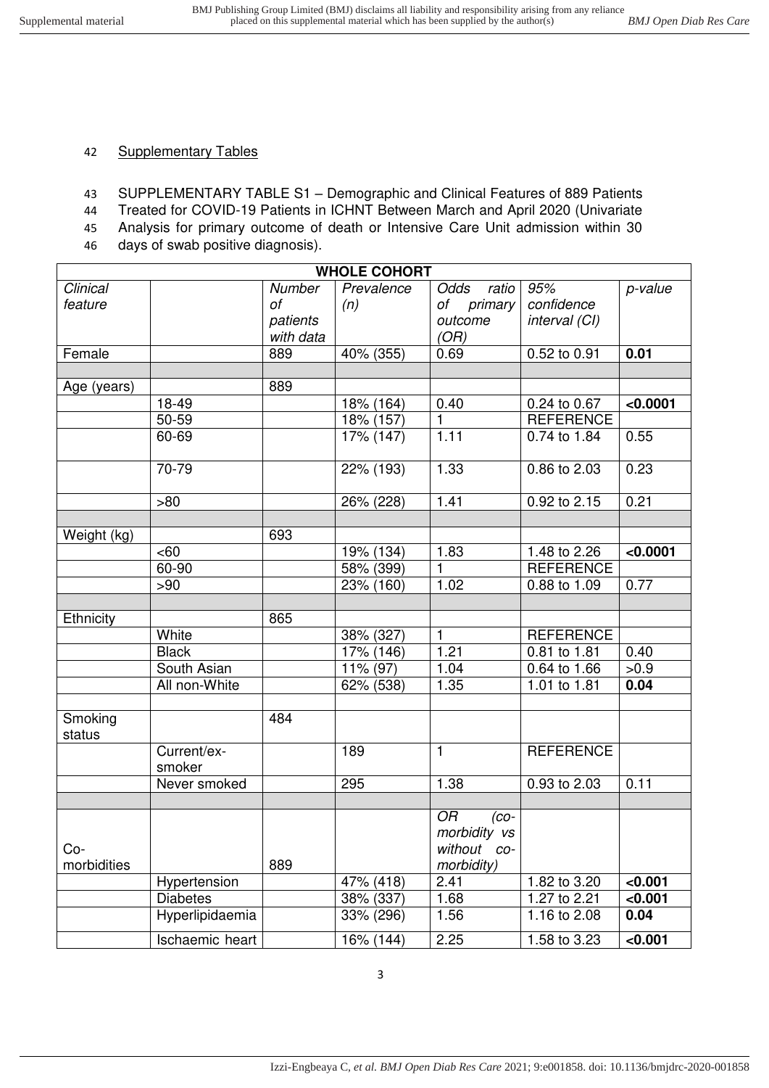## 42 Supplementary Tables

- 43 SUPPLEMENTARY TABLE S1 Demographic and Clinical Features of 889 Patients
- 44 Treated for COVID-19 Patients in ICHNT Between March and April 2020 (Univariate
- 45 Analysis for primary outcome of death or Intensive Care Unit admission within 30
- 46 days of swab positive diagnosis).

|             | <b>WHOLE COHORT</b> |           |                       |                 |                         |          |  |  |  |  |
|-------------|---------------------|-----------|-----------------------|-----------------|-------------------------|----------|--|--|--|--|
| Clinical    |                     | Number    | Prevalence            | Odds<br>ratio   | 95%                     | p-value  |  |  |  |  |
| feature     |                     | оf        | (n)                   | of primary      | confidence              |          |  |  |  |  |
|             |                     | patients  |                       | outcome         | interval (CI)           |          |  |  |  |  |
|             |                     | with data |                       | (OR)            |                         |          |  |  |  |  |
| Female      |                     | 889       | 40% (355)             | 0.69            | 0.52 to 0.91            | 0.01     |  |  |  |  |
|             |                     |           |                       |                 |                         |          |  |  |  |  |
| Age (years) |                     | 889       |                       |                 |                         |          |  |  |  |  |
|             | 18-49               |           | 18% (164)             | 0.40            | 0.24 to 0.67            | < 0.0001 |  |  |  |  |
|             | 50-59               |           | 18% (157)             | 1               | <b>REFERENCE</b>        |          |  |  |  |  |
|             | 60-69               |           | 17% (147)             | 1.11            | 0.74 to 1.84            | 0.55     |  |  |  |  |
|             |                     |           |                       |                 |                         |          |  |  |  |  |
|             | 70-79               |           | 22% (193)             | 1.33            | 0.86 to 2.03            | 0.23     |  |  |  |  |
|             |                     |           |                       |                 |                         |          |  |  |  |  |
|             | >80                 |           | 26% (228)             | 1.41            | 0.92 to 2.15            | 0.21     |  |  |  |  |
|             |                     |           |                       |                 |                         |          |  |  |  |  |
| Weight (kg) |                     | 693       |                       |                 |                         |          |  |  |  |  |
|             | <60                 |           | 19% (134)             | 1.83            | 1.48 to 2.26            | < 0.0001 |  |  |  |  |
|             | 60-90               |           | 58% (399)             | 1               | <b>REFERENCE</b>        |          |  |  |  |  |
|             | >90                 |           | 23% (160)             | 1.02            | 0.88 to 1.09            | 0.77     |  |  |  |  |
|             |                     |           |                       |                 |                         |          |  |  |  |  |
| Ethnicity   |                     | 865       |                       |                 |                         |          |  |  |  |  |
|             | White               |           | 38% (327)             | 1               | <b>REFERENCE</b>        |          |  |  |  |  |
|             | <b>Black</b>        |           | 17% (146)             | 1.21            | 0.81 to 1.81            | 0.40     |  |  |  |  |
|             | South Asian         |           | 11% (97)              | 1.04            | 0.64 to 1.66            | >0.9     |  |  |  |  |
|             | All non-White       |           | 62% (538)             | 1.35            | 1.01 to 1.81            | 0.04     |  |  |  |  |
|             |                     |           |                       |                 |                         |          |  |  |  |  |
| Smoking     |                     | 484       |                       |                 |                         |          |  |  |  |  |
| status      |                     |           |                       |                 |                         |          |  |  |  |  |
|             | Current/ex-         |           | 189                   | $\mathbf{1}$    | <b>REFERENCE</b>        |          |  |  |  |  |
|             | smoker              |           |                       |                 |                         |          |  |  |  |  |
|             | Never smoked        |           | 295                   | 1.38            | $0.93 \text{ to } 2.03$ | 0.11     |  |  |  |  |
|             |                     |           |                       |                 |                         |          |  |  |  |  |
|             |                     |           |                       | OR<br>$(co-$    |                         |          |  |  |  |  |
|             |                     |           |                       | morbidity vs    |                         |          |  |  |  |  |
| $Co-$       |                     |           |                       | without<br>- CO |                         |          |  |  |  |  |
| morbidities |                     | 889       |                       | morbidity)      |                         |          |  |  |  |  |
|             | Hypertension        |           | $\frac{1}{47\%}(418)$ | 2.41            | 1.82 to 3.20            | < 0.001  |  |  |  |  |
|             | <b>Diabetes</b>     |           | 38% (337)             | 1.68            | 1.27 to 2.21            | < 0.001  |  |  |  |  |
|             | Hyperlipidaemia     |           | 33% (296)             | 1.56            | 1.16 to 2.08            | 0.04     |  |  |  |  |
|             | Ischaemic heart     |           | $16\% (144)$          | 2.25            | 1.58 to 3.23            | <0.001   |  |  |  |  |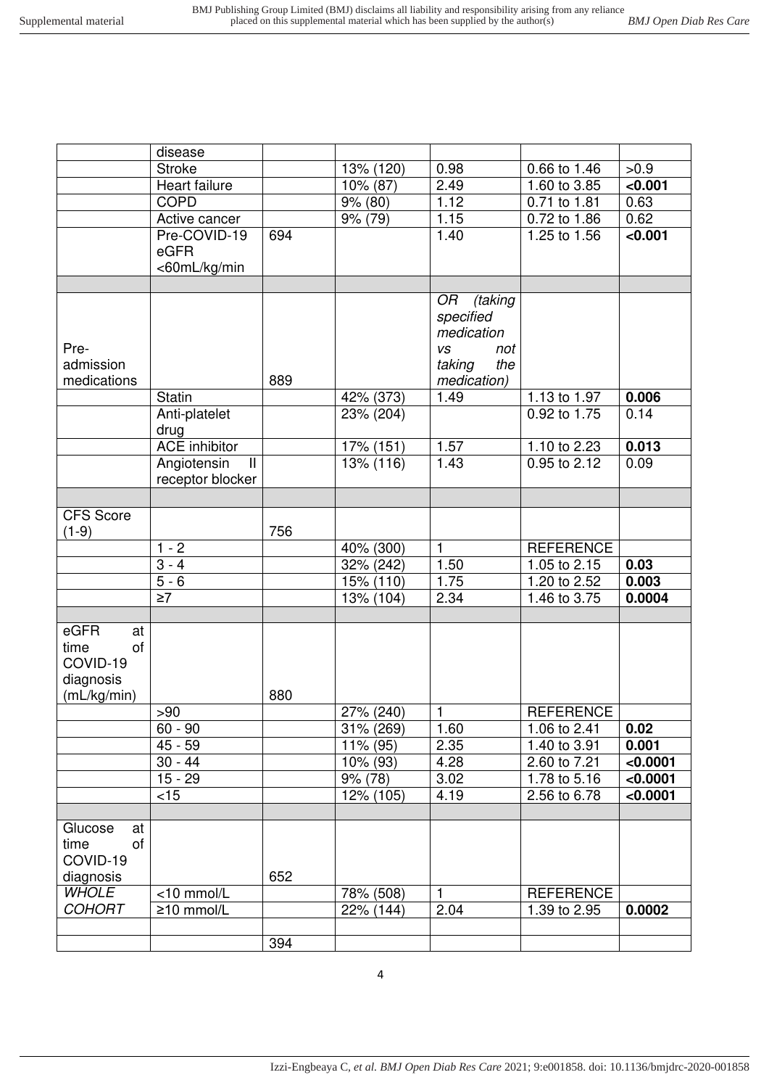|                  | disease                      |     |                                      |                    |                              |                 |
|------------------|------------------------------|-----|--------------------------------------|--------------------|------------------------------|-----------------|
|                  | <b>Stroke</b>                |     | 13% (120)                            | 0.98               | 0.66 to 1.46                 | >0.9            |
|                  | Heart failure                |     | $\overline{10\%}$ (87)               | 2.49               | 1.60 to 3.85                 | < 0.001         |
|                  | <b>COPD</b>                  |     | 9% (80)                              | 1.12               | 0.71 to 1.81                 | 0.63            |
|                  | Active cancer                |     | 9% (79)                              | 1.15               | 0.72 to 1.86                 | 0.62            |
|                  | Pre-COVID-19                 | 694 |                                      | $\overline{1}$ .40 | 1.25 to 1.56                 | < 0.001         |
|                  | eGFR                         |     |                                      |                    |                              |                 |
|                  | <60mL/kg/min                 |     |                                      |                    |                              |                 |
|                  |                              |     |                                      |                    |                              |                 |
|                  |                              |     |                                      | (taking<br>OR      |                              |                 |
|                  |                              |     |                                      | specified          |                              |                 |
|                  |                              |     |                                      | medication         |                              |                 |
| Pre-             |                              |     |                                      | <b>VS</b><br>not   |                              |                 |
| admission        |                              |     |                                      | taking<br>the      |                              |                 |
| medications      |                              | 889 |                                      | medication)        |                              |                 |
|                  | Statin                       |     | 42% (373)                            | 1.49               | 1.13 to 1.97                 | 0.006           |
|                  | Anti-platelet                |     | 23% (204)                            |                    | 0.92 to 1.75                 | 0.14            |
|                  | drug                         |     |                                      |                    |                              |                 |
|                  | <b>ACE</b> inhibitor         |     | 17% (151)                            | 1.57               | 1.10 to 2.23                 | 0.013           |
|                  | Angiotensin<br>$\mathbf{II}$ |     | 13% (116)                            | 1.43               | 0.95 to 2.12                 | 0.09            |
|                  | receptor blocker             |     |                                      |                    |                              |                 |
|                  |                              |     |                                      |                    |                              |                 |
| <b>CFS Score</b> |                              |     |                                      |                    |                              |                 |
| $(1-9)$          |                              | 756 |                                      |                    |                              |                 |
|                  | $1 - 2$                      |     | 40% (300)                            | $\mathbf{1}$       | <b>REFERENCE</b>             |                 |
|                  | $3 - 4$<br>$5 - 6$           |     | 32% (242)                            | 1.50<br>1.75       | 1.05 to 2.15                 | 0.03            |
|                  | $\overline{\geq 7}$          |     | $\overline{15}$ % (110)<br>13% (104) | 2.34               | 1.20 to 2.52<br>1.46 to 3.75 | 0.003<br>0.0004 |
|                  |                              |     |                                      |                    |                              |                 |
| eGFR<br>at       |                              |     |                                      |                    |                              |                 |
| of<br>time       |                              |     |                                      |                    |                              |                 |
| COVID-19         |                              |     |                                      |                    |                              |                 |
| diagnosis        |                              |     |                                      |                    |                              |                 |
| (mL/kg/min)      |                              | 880 |                                      |                    |                              |                 |
|                  | >90                          |     | 27% (240)                            | $\mathbf{1}$       | <b>REFERENCE</b>             |                 |
|                  | $60 - 90$                    |     | 31% (269)                            | 1.60               | 1.06 to 2.41                 | 0.02            |
|                  | $45 - 59$                    |     | 11% (95)                             | 2.35               | 1.40 to 3.91                 | 0.001           |
|                  | $30 - 44$                    |     | 10% (93)                             | 4.28               | 2.60 to 7.21                 | < 0.0001        |
|                  | $15 - 29$                    |     | 9% (78)                              | 3.02               | 1.78 to 5.16                 | < 0.0001        |
|                  | $<$ 15                       |     | 12% (105)                            | 4.19               | 2.56 to 6.78                 | < 0.0001        |
|                  |                              |     |                                      |                    |                              |                 |
| Glucose<br>at    |                              |     |                                      |                    |                              |                 |
| of<br>time       |                              |     |                                      |                    |                              |                 |
| COVID-19         |                              |     |                                      |                    |                              |                 |
| diagnosis        |                              | 652 |                                      |                    |                              |                 |
| <b>WHOLE</b>     | <10 mmol/L                   |     | 78% (508)                            | $\mathbf{1}$       | <b>REFERENCE</b>             |                 |
| <b>COHORT</b>    | ≥10 mmol/L                   |     | 22% (144)                            | 2.04               | 1.39 to 2.95                 | 0.0002          |
|                  |                              |     |                                      |                    |                              |                 |
|                  |                              | 394 |                                      |                    |                              |                 |
|                  |                              |     |                                      |                    |                              |                 |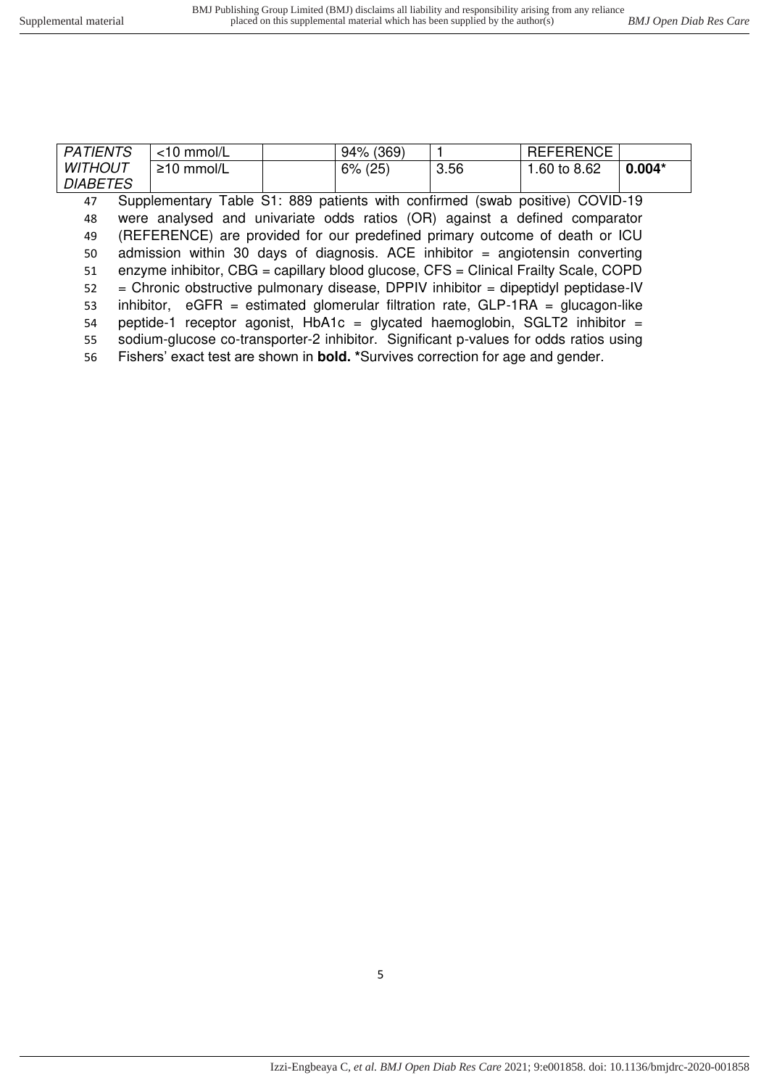| <b>PATIENTS</b> | $<$ 10 mmol/L    | 94% (369)  |      | <b>REFERENCE</b> |          |
|-----------------|------------------|------------|------|------------------|----------|
| <b>WITHOUT</b>  | $\geq$ 10 mmol/L | $6\%$ (25) | 3.56 | 1.60 to 8.62     | $0.004*$ |
| <b>DIABETES</b> |                  |            |      |                  |          |

 Supplementary Table S1: 889 patients with confirmed (swab positive) COVID-19 were analysed and univariate odds ratios (OR) against a defined comparator (REFERENCE) are provided for our predefined primary outcome of death or ICU admission within 30 days of diagnosis. ACE inhibitor = angiotensin converting enzyme inhibitor, CBG = capillary blood glucose, CFS = Clinical Frailty Scale, COPD = Chronic obstructive pulmonary disease, DPPIV inhibitor = dipeptidyl peptidase-IV inhibitor, eGFR = estimated glomerular filtration rate, GLP-1RA = glucagon-like 54 peptide-1 receptor agonist,  $HbA1c = glycated haemoglobin, SGLT2 inhibitor =$ sodium-glucose co-transporter-2 inhibitor. Significant p-values for odds ratios using

56 Fishers' exact test are shown in **bold. \***Survives correction for age and gender.

5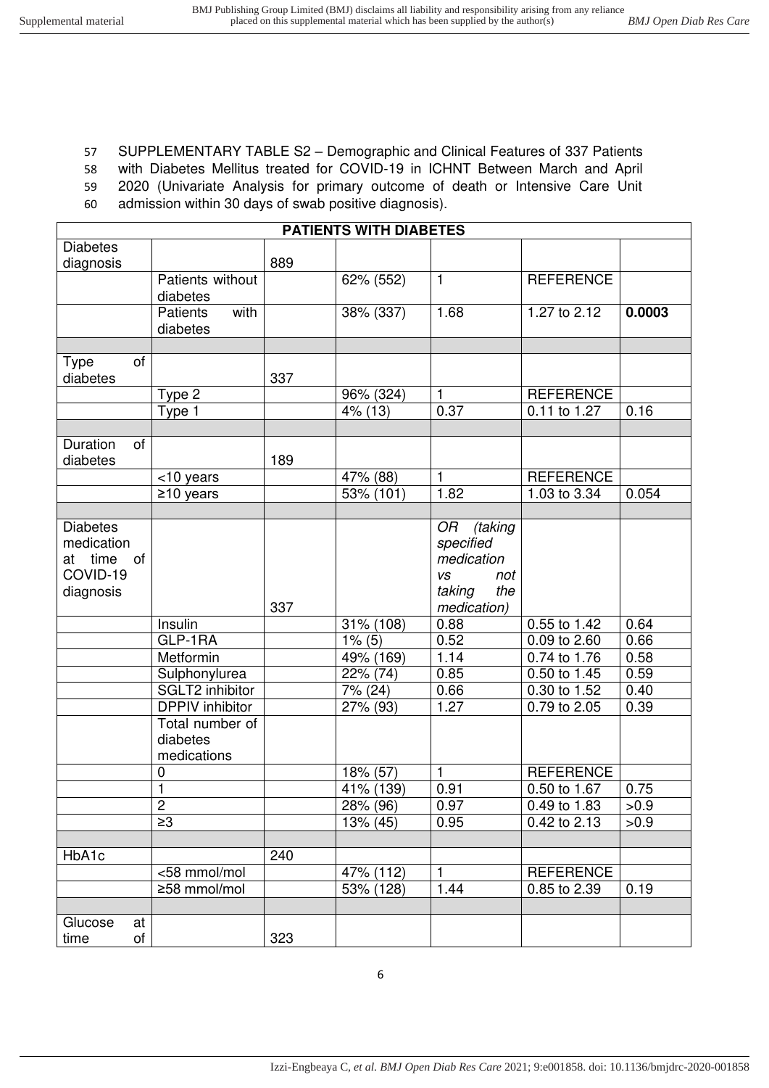### 57 SUPPLEMENTARY TABLE S2 – Demographic and Clinical Features of 337 Patients

58 with Diabetes Mellitus treated for COVID-19 in ICHNT Between March and April

59 2020 (Univariate Analysis for primary outcome of death or Intensive Care Unit

60 admission within 30 days of swab positive diagnosis).

|                   |                         |     | <b>PATIENTS WITH DIABETES</b> |                  |                           |        |
|-------------------|-------------------------|-----|-------------------------------|------------------|---------------------------|--------|
| <b>Diabetes</b>   |                         |     |                               |                  |                           |        |
| diagnosis         |                         | 889 |                               |                  |                           |        |
|                   | Patients without        |     | 62% (552)                     | $\mathbf{1}$     | <b>REFERENCE</b>          |        |
|                   | diabetes                |     |                               |                  |                           |        |
|                   | <b>Patients</b><br>with |     | 38% (337)                     | 1.68             | 1.27 to 2.12              | 0.0003 |
|                   | diabetes                |     |                               |                  |                           |        |
|                   |                         |     |                               |                  |                           |        |
| of<br><b>Type</b> |                         |     |                               |                  |                           |        |
| diabetes          |                         | 337 |                               |                  |                           |        |
|                   | Type 2                  |     | 96% (324)                     | 1                | <b>REFERENCE</b>          |        |
|                   | Type 1                  |     | 4% (13)                       | 0.37             | 0.11 to 1.27              | 0.16   |
|                   |                         |     |                               |                  |                           |        |
| Duration<br>0f    |                         |     |                               |                  |                           |        |
| diabetes          |                         | 189 |                               |                  |                           |        |
|                   | <10 years               |     | 47% (88)                      | 1                | <b>REFERENCE</b>          |        |
|                   | $\geq$ 10 years         |     | 53% (101)                     | 1.82             | 1.03 to 3.34              | 0.054  |
|                   |                         |     |                               |                  |                           |        |
| <b>Diabetes</b>   |                         |     |                               | OR<br>(taking    |                           |        |
| medication        |                         |     |                               | specified        |                           |        |
| at time<br>of     |                         |     |                               | medication       |                           |        |
| COVID-19          |                         |     |                               | <b>VS</b><br>not |                           |        |
| diagnosis         |                         |     |                               | taking<br>the    |                           |        |
|                   |                         | 337 |                               | medication)      |                           |        |
|                   | Insulin                 |     | 31% (108)                     | 0.88             | 0.55 to 1.42              | 0.64   |
|                   | GLP-1RA                 |     | $1\%$ (5)                     | 0.52             | $\overline{0.09}$ to 2.60 | 0.66   |
|                   | Metformin               |     | 49% (169)                     | 1.14             | 0.74 to 1.76              | 0.58   |
|                   | Sulphonylurea           |     | 22% (74)                      | 0.85             | 0.50 to 1.45              | 0.59   |
|                   | <b>SGLT2</b> inhibitor  |     | 7% (24)                       | 0.66             | 0.30 to 1.52              | 0.40   |
|                   | <b>DPPIV</b> inhibitor  |     | 27% (93)                      | 1.27             | $\overline{0.79}$ to 2.05 | 0.39   |
|                   | Total number of         |     |                               |                  |                           |        |
|                   | diabetes                |     |                               |                  |                           |        |
|                   | medications             |     |                               |                  |                           |        |
|                   | 0                       |     | 18% (57)                      | 1                | <b>REFERENCE</b>          |        |
|                   | $\mathbf{1}$            |     | 41% (139)                     | 0.91             | 0.50 to 1.67              | 0.75   |
|                   | $\overline{2}$          |     | 28% (96)                      | 0.97             | 0.49 to 1.83              | >0.9   |
|                   | $\geq$ 3                |     | 13% (45)                      | 0.95             | 0.42 to 2.13              | >0.9   |
|                   |                         |     |                               |                  |                           |        |
| HbA1c             |                         | 240 |                               |                  |                           |        |
|                   | <58 mmol/mol            |     | 47% (112)                     | 1                | <b>REFERENCE</b>          |        |
|                   | ≥58 mmol/mol            |     | 53% (128)                     | 1.44             | 0.85 to 2.39              | 0.19   |
|                   |                         |     |                               |                  |                           |        |
| Glucose<br>at     |                         |     |                               |                  |                           |        |
| of<br>time        |                         | 323 |                               |                  |                           |        |
|                   |                         |     |                               |                  |                           |        |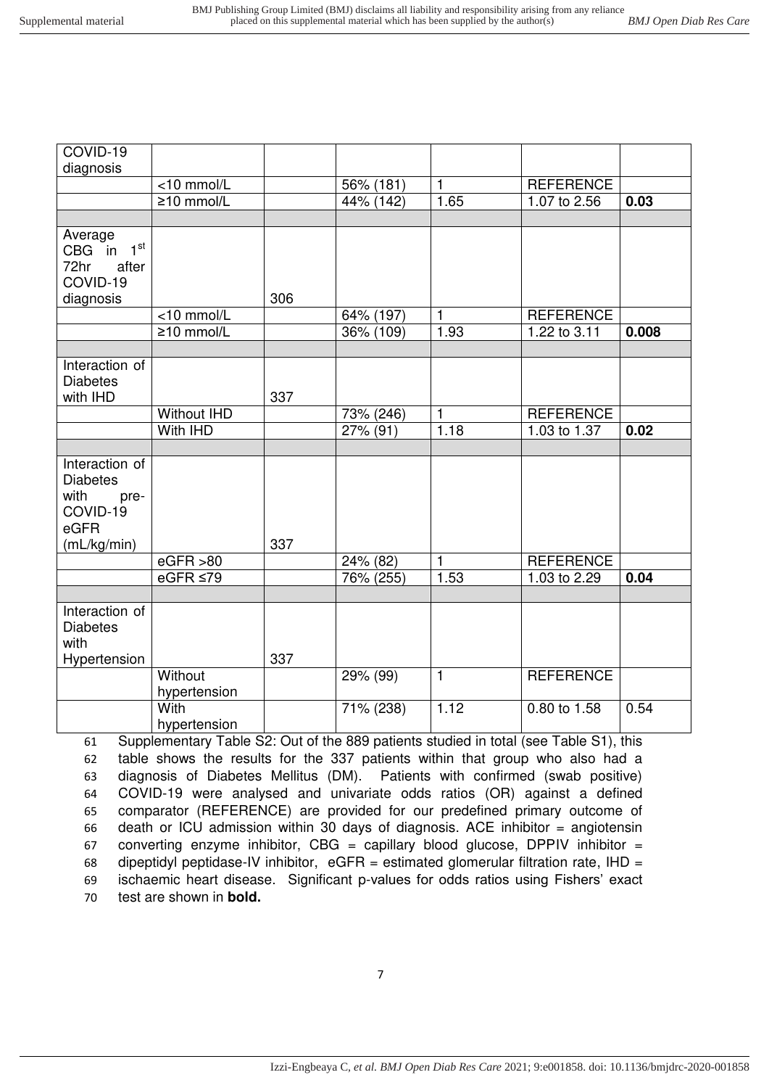| COVID-19                                                                             |                                                                                                              |     |           |                |                  |       |
|--------------------------------------------------------------------------------------|--------------------------------------------------------------------------------------------------------------|-----|-----------|----------------|------------------|-------|
| diagnosis                                                                            |                                                                                                              |     |           |                |                  |       |
|                                                                                      | <10 mmol/L                                                                                                   |     | 56% (181) | $\mathbf{1}$   | <b>REFERENCE</b> |       |
|                                                                                      | $\geq$ 10 mmol/L                                                                                             |     | 44% (142) | 1.65           | 1.07 to 2.56     | 0.03  |
|                                                                                      |                                                                                                              |     |           |                |                  |       |
| Average<br>$1^{\rm st}$<br>CBG in<br>72hr<br>after<br>COVID-19<br>diagnosis          |                                                                                                              | 306 |           |                |                  |       |
|                                                                                      | <10 mmol/L                                                                                                   |     | 64% (197) | 1              | <b>REFERENCE</b> |       |
|                                                                                      | $\geq$ 10 mmol/L                                                                                             |     | 36% (109) | 1.93           | 1.22 to 3.11     | 0.008 |
|                                                                                      |                                                                                                              |     |           |                |                  |       |
| Interaction of<br><b>Diabetes</b><br>with IHD                                        |                                                                                                              | 337 |           |                |                  |       |
|                                                                                      | <b>Without IHD</b>                                                                                           |     | 73% (246) | $\mathbf{1}$   | <b>REFERENCE</b> |       |
|                                                                                      | With IHD                                                                                                     |     | 27% (91)  | 1.18           | 1.03 to 1.37     | 0.02  |
|                                                                                      |                                                                                                              |     |           |                |                  |       |
| Interaction of<br><b>Diabetes</b><br>with<br>pre-<br>COVID-19<br>eGFR<br>(mL/kg/min) |                                                                                                              | 337 |           |                |                  |       |
|                                                                                      | eGFR > 80                                                                                                    |     | 24% (82)  | 1              | <b>REFERENCE</b> |       |
|                                                                                      | eGFR $\leq$ 79                                                                                               |     | 76% (255) | 1.53           | 1.03 to 2.29     | 0.04  |
|                                                                                      |                                                                                                              |     |           |                |                  |       |
| Interaction of<br><b>Diabetes</b><br>with<br>Hypertension                            |                                                                                                              | 337 |           |                |                  |       |
|                                                                                      | Without<br>hypertension                                                                                      |     | 29% (99)  | $\overline{1}$ | <b>REFERENCE</b> |       |
| 61                                                                                   | With<br>hypertension<br>Supplementary Table S2: Out of the 889 patients studied in total (see Table S1) this |     | 71% (238) | 1.12           | 0.80 to 1.58     | 0.54  |

 Supplementary Table S2: Out of the 889 patients studied in total (see Table S1), this table shows the results for the 337 patients within that group who also had a diagnosis of Diabetes Mellitus (DM). Patients with confirmed (swab positive) COVID-19 were analysed and univariate odds ratios (OR) against a defined comparator (REFERENCE) are provided for our predefined primary outcome of death or ICU admission within 30 days of diagnosis. ACE inhibitor = angiotensin 67 converting enzyme inhibitor, CBG = capillary blood glucose, DPPIV inhibitor = 68 dipeptidyl peptidase-IV inhibitor,  $eGFR =$  estimated glomerular filtration rate, IHD = ischaemic heart disease. Significant p-values for odds ratios using Fishers' exact test are shown in **bold.**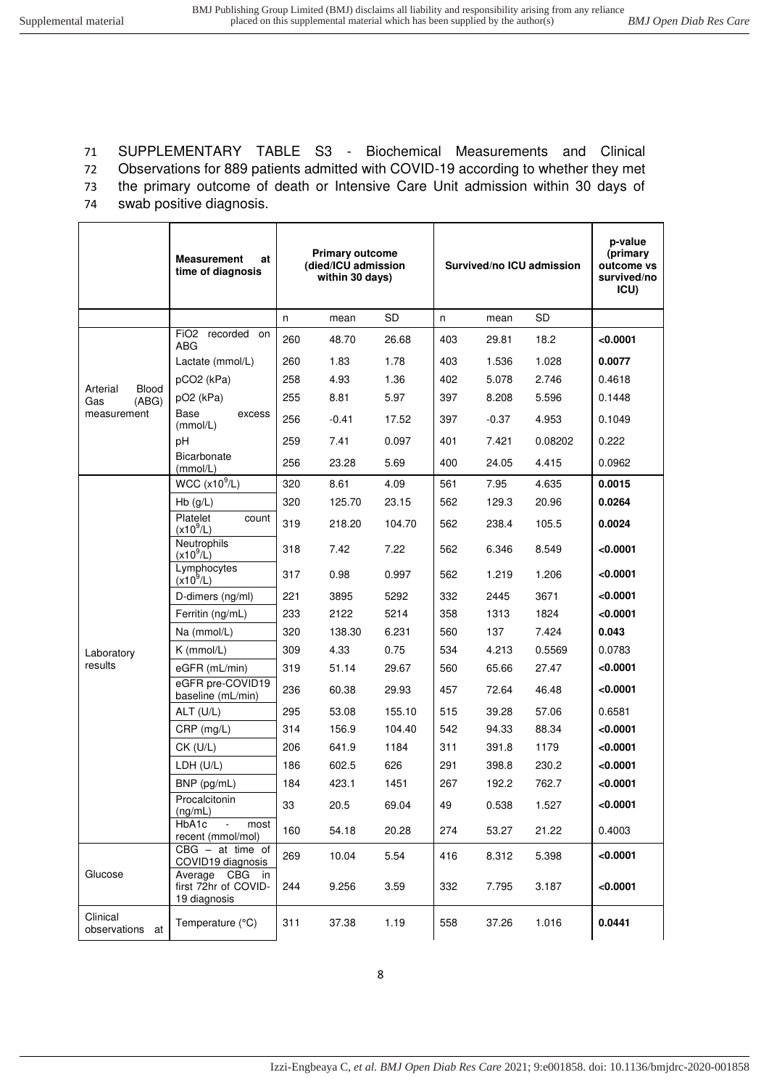# 71 SUPPLEMENTARY TABLE S3 - Biochemical Measurements and Clinical

72 Observations for 889 patients admitted with COVID-19 according to whether they met 73 the primary outcome of death or Intensive Care Unit admission within 30 days of

74 swab positive diagnosis.

|                             | <b>Measurement</b><br>at<br>time of diagnosis          |     | <b>Primary outcome</b><br>(died/ICU admission<br>within 30 days) |        |     |         | Survived/no ICU admission | p-value<br>(primary<br>outcome vs<br>survived/no<br>ICU) |
|-----------------------------|--------------------------------------------------------|-----|------------------------------------------------------------------|--------|-----|---------|---------------------------|----------------------------------------------------------|
|                             |                                                        | n   | mean                                                             | SD     | n   | mean    | <b>SD</b>                 |                                                          |
|                             | FiO2 recorded on<br>ABG                                | 260 | 48.70                                                            | 26.68  | 403 | 29.81   | 18.2                      | < 0.0001                                                 |
|                             | Lactate (mmol/L)                                       | 260 | 1.83                                                             | 1.78   | 403 | 1.536   | 1.028                     | 0.0077                                                   |
| Blood<br>Arterial           | pCO <sub>2</sub> (kPa)                                 | 258 | 4.93                                                             | 1.36   | 402 | 5.078   | 2.746                     | 0.4618                                                   |
| (ABG)<br>Gas                | pO <sub>2</sub> (kPa)                                  | 255 | 8.81                                                             | 5.97   | 397 | 8.208   | 5.596                     | 0.1448                                                   |
| measurement                 | Base<br>excess<br>(mmol/L)                             | 256 | $-0.41$                                                          | 17.52  | 397 | $-0.37$ | 4.953                     | 0.1049                                                   |
|                             | pH                                                     | 259 | 7.41                                                             | 0.097  | 401 | 7.421   | 0.08202                   | 0.222                                                    |
|                             | Bicarbonate<br>(mmol/L)                                | 256 | 23.28                                                            | 5.69   | 400 | 24.05   | 4.415                     | 0.0962                                                   |
|                             | WCC $(x10^9/L)$                                        | 320 | 8.61                                                             | 4.09   | 561 | 7.95    | 4.635                     | 0.0015                                                   |
|                             | $Hb$ (g/L)                                             | 320 | 125.70                                                           | 23.15  | 562 | 129.3   | 20.96                     | 0.0264                                                   |
|                             | Platelet<br>count<br>$(x10^9/L)$                       | 319 | 218.20                                                           | 104.70 | 562 | 238.4   | 105.5                     | 0.0024                                                   |
|                             | Neutrophils<br>$(x10^{9}/L)$                           | 318 | 7.42                                                             | 7.22   | 562 | 6.346   | 8.549                     | < 0.0001                                                 |
|                             | Lymphocytes<br>$(x10^9/L)$                             | 317 | 0.98                                                             | 0.997  | 562 | 1.219   | 1.206                     | < 0.0001                                                 |
|                             | D-dimers (ng/ml)                                       | 221 | 3895                                                             | 5292   | 332 | 2445    | 3671                      | < 0.0001                                                 |
|                             | Ferritin (ng/mL)                                       | 233 | 2122                                                             | 5214   | 358 | 1313    | 1824                      | < 0.0001                                                 |
|                             | Na (mmol/L)                                            | 320 | 138.30                                                           | 6.231  | 560 | 137     | 7.424                     | 0.043                                                    |
| Laboratory                  | $K$ (mmol/L)                                           | 309 | 4.33                                                             | 0.75   | 534 | 4.213   | 0.5569                    | 0.0783                                                   |
| results                     | eGFR (mL/min)                                          | 319 | 51.14                                                            | 29.67  | 560 | 65.66   | 27.47                     | < 0.0001                                                 |
|                             | eGFR pre-COVID19<br>baseline (mL/min)                  | 236 | 60.38                                                            | 29.93  | 457 | 72.64   | 46.48                     | < 0.0001                                                 |
|                             | ALT (U/L)                                              | 295 | 53.08                                                            | 155.10 | 515 | 39.28   | 57.06                     | 0.6581                                                   |
|                             | CRP (mg/L)                                             | 314 | 156.9                                                            | 104.40 | 542 | 94.33   | 88.34                     | < 0.0001                                                 |
|                             | CK (U/L)                                               | 206 | 641.9                                                            | 1184   | 311 | 391.8   | 1179                      | < 0.0001                                                 |
|                             | LDH (U/L)                                              | 186 | 602.5                                                            | 626    | 291 | 398.8   | 230.2                     | < 0.0001                                                 |
|                             | BNP (pg/mL)                                            | 184 | 423.1                                                            | 1451   | 267 | 192.2   | 762.7                     | < 0.0001                                                 |
|                             | Procalcitonin<br>(ng/mL)                               | 33  | 20.5                                                             | 69.04  | 49  | 0.538   | 1.527                     | < 0.0001                                                 |
|                             | HbA1c<br>most<br>recent (mmol/mol)                     | 160 | 54.18                                                            | 20.28  | 274 | 53.27   | 21.22                     | 0.4003                                                   |
|                             | $CBG - at time of$<br>COVID19 diagnosis                | 269 | 10.04                                                            | 5.54   | 416 | 8.312   | 5.398                     | < 0.0001                                                 |
| Glucose                     | Average CBG in<br>first 72hr of COVID-<br>19 diagnosis | 244 | 9.256                                                            | 3.59   | 332 | 7.795   | 3.187                     | < 0.0001                                                 |
| Clinical<br>observations at | Temperature (°C)                                       | 311 | 37.38                                                            | 1.19   | 558 | 37.26   | 1.016                     | 0.0441                                                   |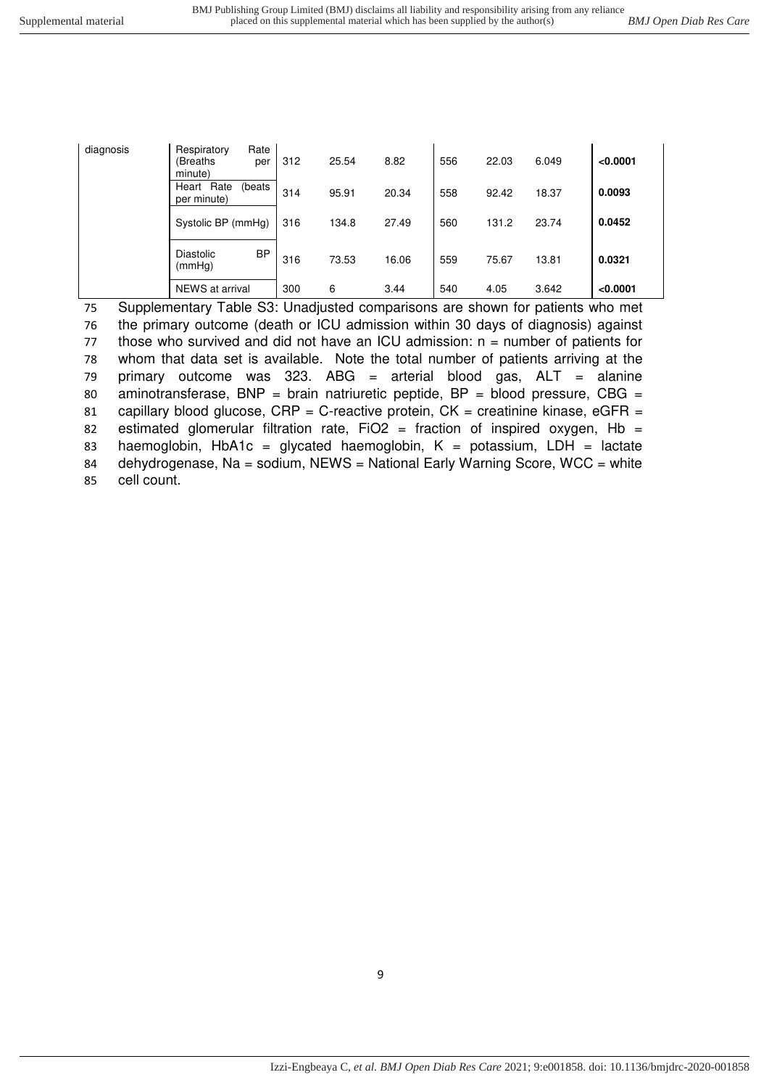| diagnosis | Rate<br>Respiratory<br>(Breaths<br>per<br>minute) | 312 | 25.54 | 8.82  | 556 | 22.03 | 6.049 | < 0.0001 |
|-----------|---------------------------------------------------|-----|-------|-------|-----|-------|-------|----------|
|           | Rate<br>(beats<br>Heart<br>per minute)            | 314 | 95.91 | 20.34 | 558 | 92.42 | 18.37 | 0.0093   |
|           | Systolic BP (mmHg)                                | 316 | 134.8 | 27.49 | 560 | 131.2 | 23.74 | 0.0452   |
|           | <b>BP</b><br>Diastolic<br>(mmHq)                  | 316 | 73.53 | 16.06 | 559 | 75.67 | 13.81 | 0.0321   |
|           | NEWS at arrival                                   | 300 | 6     | 3.44  | 540 | 4.05  | 3.642 | < 0.0001 |

75 Supplementary Table S3: Unadjusted comparisons are shown for patients who met 76 the primary outcome (death or ICU admission within 30 days of diagnosis) against 77 those who survived and did not have an ICU admission:  $n =$  number of patients for 78 whom that data set is available. Note the total number of patients arriving at the 79 primary outcome was 323. ABG = arterial blood gas,  $ALT =$  alanine 80 aminotransferase, BNP = brain natriuretic peptide,  $BP = blood pressure$ ,  $CBG =$ 81 capillary blood glucose,  $CRP = C$ -reactive protein,  $CK =$  creatinine kinase, eGFR = 82 estimated glomerular filtration rate, FiO2 = fraction of inspired oxygen, Hb = 83 haemoglobin, HbA1c = glycated haemoglobin,  $K =$  potassium, LDH = lactate 84 dehydrogenase, Na = sodium, NEWS = National Early Warning Score, WCC = white 85 cell count.

9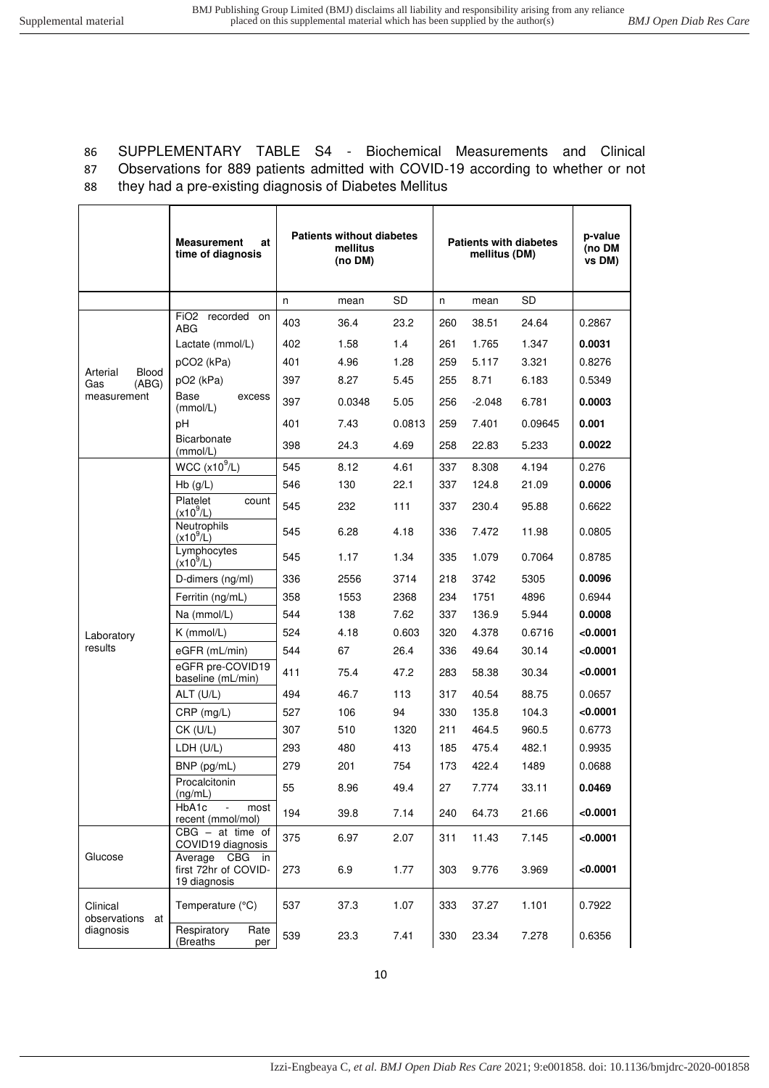86 SUPPLEMENTARY TABLE S4 - Biochemical Measurements and Clinical 87 Observations for 889 patients admitted with COVID-19 according to whether or not 88 they had a pre-existing diagnosis of Diabetes Mellitus

|                                   | <b>Measurement</b><br>at<br>time of diagnosis             | <b>Patients without diabetes</b><br>mellitus<br>(no DM) |        |        | <b>Patients with diabetes</b><br>mellitus (DM) |          | p-value<br>(no DM<br>vs DM) |          |
|-----------------------------------|-----------------------------------------------------------|---------------------------------------------------------|--------|--------|------------------------------------------------|----------|-----------------------------|----------|
|                                   |                                                           | n                                                       | mean   | SD     | n                                              | mean     | SD                          |          |
|                                   | FiO2 recorded on<br><b>ABG</b>                            | 403                                                     | 36.4   | 23.2   | 260                                            | 38.51    | 24.64                       | 0.2867   |
|                                   | Lactate (mmol/L)                                          | 402                                                     | 1.58   | 1.4    | 261                                            | 1.765    | 1.347                       | 0.0031   |
|                                   | pCO <sub>2</sub> (kPa)                                    | 401                                                     | 4.96   | 1.28   | 259                                            | 5.117    | 3.321                       | 0.8276   |
| Arterial<br>Blood<br>Gas<br>(ABG) | pO <sub>2</sub> (kPa)                                     | 397                                                     | 8.27   | 5.45   | 255                                            | 8.71     | 6.183                       | 0.5349   |
| measurement                       | Base<br>excess<br>(mmol/L)                                | 397                                                     | 0.0348 | 5.05   | 256                                            | $-2.048$ | 6.781                       | 0.0003   |
|                                   | pH                                                        | 401                                                     | 7.43   | 0.0813 | 259                                            | 7.401    | 0.09645                     | 0.001    |
|                                   | Bicarbonate<br>(mmol/L)                                   | 398                                                     | 24.3   | 4.69   | 258                                            | 22.83    | 5.233                       | 0.0022   |
|                                   | WCC (x10 <sup>9</sup> /L)                                 | 545                                                     | 8.12   | 4.61   | 337                                            | 8.308    | 4.194                       | 0.276    |
|                                   | $Hb$ (g/L)                                                | 546                                                     | 130    | 22.1   | 337                                            | 124.8    | 21.09                       | 0.0006   |
|                                   | Platelet<br>count<br>$(x10^9/L)$                          | 545                                                     | 232    | 111    | 337                                            | 230.4    | 95.88                       | 0.6622   |
|                                   | Neutrophils<br>$(x10^{9}/L)$                              | 545                                                     | 6.28   | 4.18   | 336                                            | 7.472    | 11.98                       | 0.0805   |
|                                   | Lymphocytes<br>$(x10^9/L)$                                | 545                                                     | 1.17   | 1.34   | 335                                            | 1.079    | 0.7064                      | 0.8785   |
|                                   | D-dimers (ng/ml)                                          | 336                                                     | 2556   | 3714   | 218                                            | 3742     | 5305                        | 0.0096   |
|                                   | Ferritin (ng/mL)                                          | 358                                                     | 1553   | 2368   | 234                                            | 1751     | 4896                        | 0.6944   |
|                                   | Na (mmol/L)                                               | 544                                                     | 138    | 7.62   | 337                                            | 136.9    | 5.944                       | 0.0008   |
| Laboratory                        | $K$ (mmol/L)                                              | 524                                                     | 4.18   | 0.603  | 320                                            | 4.378    | 0.6716                      | < 0.0001 |
| results                           | eGFR (mL/min)                                             | 544                                                     | 67     | 26.4   | 336                                            | 49.64    | 30.14                       | < 0.0001 |
|                                   | eGFR pre-COVID19<br>baseline (mL/min)                     | 411                                                     | 75.4   | 47.2   | 283                                            | 58.38    | 30.34                       | < 0.0001 |
|                                   | $ALT$ (U/L)                                               | 494                                                     | 46.7   | 113    | 317                                            | 40.54    | 88.75                       | 0.0657   |
|                                   | $CRP$ (mg/L)                                              | 527                                                     | 106    | 94     | 330                                            | 135.8    | 104.3                       | < 0.0001 |
|                                   | $CK$ (U/L)                                                | 307                                                     | 510    | 1320   | 211                                            | 464.5    | 960.5                       | 0.6773   |
|                                   | LDH (U/L)                                                 | 293                                                     | 480    | 413    | 185                                            | 475.4    | 482.1                       | 0.9935   |
|                                   | BNP (pg/mL)                                               | 279                                                     | 201    | 754    | 173                                            | 422.4    | 1489                        | 0.0688   |
|                                   | Procalcitonin<br>(ng/mL)                                  | 55                                                      | 8.96   | 49.4   | 27                                             | 7.774    | 33.11                       | 0.0469   |
|                                   | HbA1c<br>most<br>recent (mmol/mol)                        | 194                                                     | 39.8   | 7.14   | 240                                            | 64.73    | 21.66                       | < 0.0001 |
|                                   | $CBG - at time of$<br>COVID19 diagnosis                   | 375                                                     | 6.97   | 2.07   | 311                                            | 11.43    | 7.145                       | < 0.0001 |
| Glucose                           | Average CBG<br>in<br>first 72hr of COVID-<br>19 diagnosis | 273                                                     | 6.9    | 1.77   | 303                                            | 9.776    | 3.969                       | < 0.0001 |
| Clinical<br>observations<br>at    | Temperature (°C)                                          | 537                                                     | 37.3   | 1.07   | 333                                            | 37.27    | 1.101                       | 0.7922   |
| diagnosis                         | Respiratory<br>Rate<br>(Breaths<br>per                    | 539                                                     | 23.3   | 7.41   | 330                                            | 23.34    | 7.278                       | 0.6356   |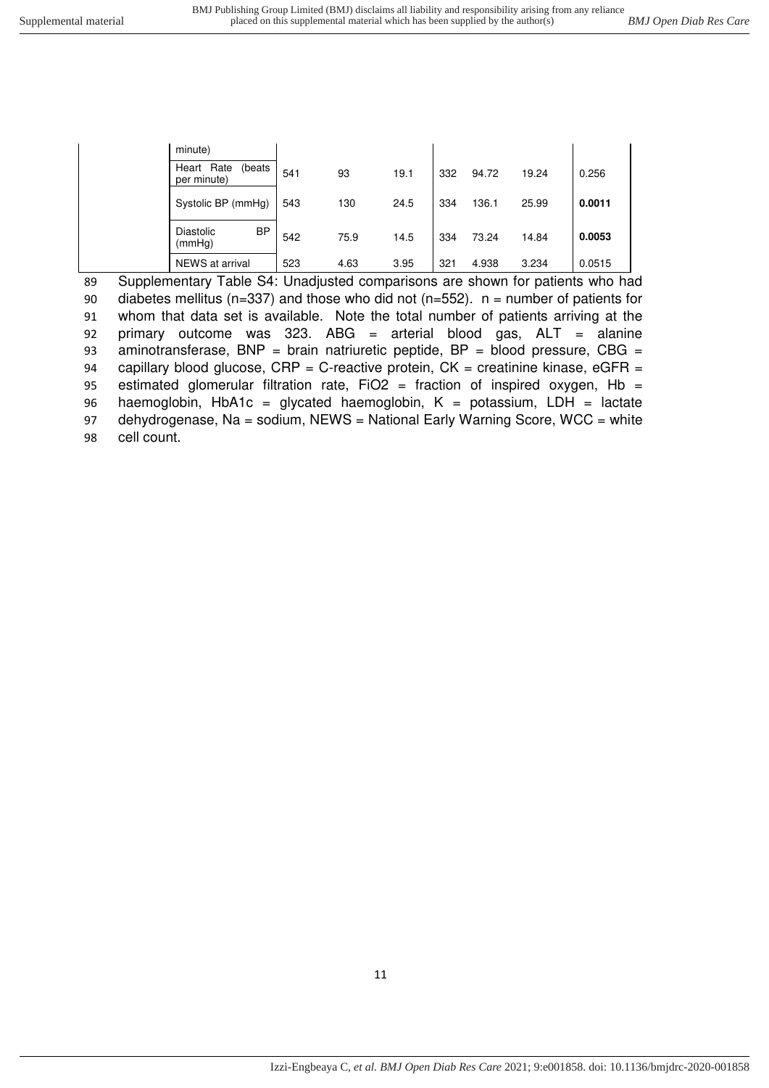| minute)                                |     |      |      |     |       |       |        |
|----------------------------------------|-----|------|------|-----|-------|-------|--------|
| Rate<br>Heart<br>(beats<br>per minute) | 541 | 93   | 19.1 | 332 | 94.72 | 19.24 | 0.256  |
| Systolic BP (mmHg)                     | 543 | 130  | 24.5 | 334 | 136.1 | 25.99 | 0.0011 |
| BP<br>Diastolic<br>(mmHg)              | 542 | 75.9 | 14.5 | 334 | 73.24 | 14.84 | 0.0053 |
| NEWS at arrival                        | 523 | 4.63 | 3.95 | 321 | 4.938 | 3.234 | 0.0515 |

89 Supplementary Table S4: Unadjusted comparisons are shown for patients who had 90 diabetes mellitus (n=337) and those who did not (n=552).  $n =$  number of patients for 91 whom that data set is available. Note the total number of patients arriving at the 92 primary outcome was 323. ABG = arterial blood gas, ALT = alanine 93 aminotransferase, BNP = brain natriuretic peptide,  $BP =$  blood pressure, CBG = 94 capillary blood glucose,  $CRP = C$ -reactive protein,  $CK =$  creatinine kinase,  $eGFR =$ 95 estimated glomerular filtration rate, FiO2 = fraction of inspired oxygen, Hb = 96 haemoglobin, HbA1c = glycated haemoglobin,  $K =$  potassium, LDH = lactate 97 dehydrogenase, Na = sodium, NEWS = National Early Warning Score, WCC = white 98 cell count.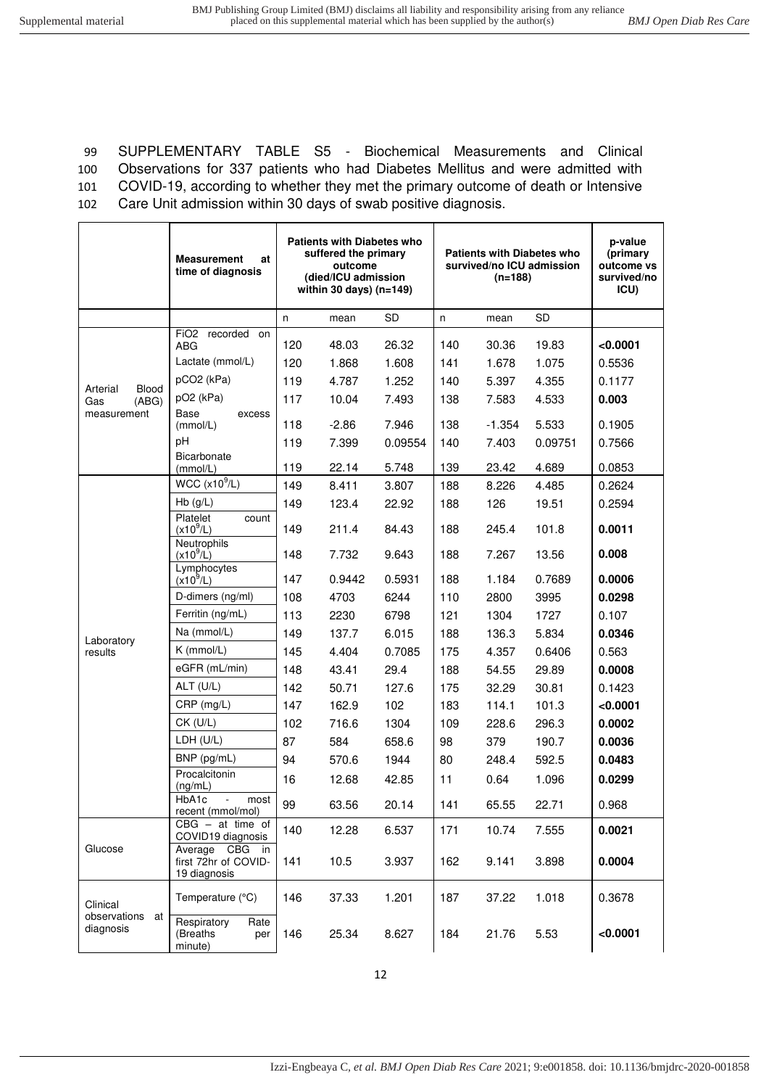SUPPLEMENTARY TABLE S5 - Biochemical Measurements and Clinical Observations for 337 patients who had Diabetes Mellitus and were admitted with COVID-19, according to whether they met the primary outcome of death or Intensive Care Unit admission within 30 days of swab positive diagnosis.

|                          | <b>Measurement</b><br>at<br>time of diagnosis                  | <b>Patients with Diabetes who</b><br>suffered the primary<br>outcome<br>(died/ICU admission<br>within 30 days) $(n=149)$ |         |           |     | $(n=188)$ | <b>Patients with Diabetes who</b><br>survived/no ICU admission | p-value<br>(primary<br>outcome vs<br>survived/no<br>ICU) |
|--------------------------|----------------------------------------------------------------|--------------------------------------------------------------------------------------------------------------------------|---------|-----------|-----|-----------|----------------------------------------------------------------|----------------------------------------------------------|
|                          |                                                                | n                                                                                                                        | mean    | <b>SD</b> | n   | mean      | <b>SD</b>                                                      |                                                          |
|                          | FiO <sub>2</sub> recorded on<br><b>ABG</b>                     | 120                                                                                                                      | 48.03   | 26.32     | 140 | 30.36     | 19.83                                                          | < 0.0001                                                 |
|                          | Lactate (mmol/L)                                               | 120                                                                                                                      | 1.868   | 1.608     | 141 | 1.678     | 1.075                                                          | 0.5536                                                   |
| Arterial<br>Blood        | pCO2 (kPa)                                                     | 119                                                                                                                      | 4.787   | 1.252     | 140 | 5.397     | 4.355                                                          | 0.1177                                                   |
| (ABG)<br>Gas             | pO <sub>2</sub> (kPa)                                          | 117                                                                                                                      | 10.04   | 7.493     | 138 | 7.583     | 4.533                                                          | 0.003                                                    |
| measurement              | Base<br>excess<br>(mmol/L)                                     | 118                                                                                                                      | $-2.86$ | 7.946     | 138 | $-1.354$  | 5.533                                                          | 0.1905                                                   |
|                          | pH                                                             | 119                                                                                                                      | 7.399   | 0.09554   | 140 | 7.403     | 0.09751                                                        | 0.7566                                                   |
|                          | Bicarbonate<br>(mmol/L)                                        | 119                                                                                                                      | 22.14   | 5.748     | 139 | 23.42     | 4.689                                                          | 0.0853                                                   |
|                          | WCC $(x10^9/L)$                                                | 149                                                                                                                      | 8.411   | 3.807     | 188 | 8.226     | 4.485                                                          | 0.2624                                                   |
|                          | $Hb$ (g/L)                                                     | 149                                                                                                                      | 123.4   | 22.92     | 188 | 126       | 19.51                                                          | 0.2594                                                   |
|                          | Platelet<br>count<br>$(x10^9/L)$                               | 149                                                                                                                      | 211.4   | 84.43     | 188 | 245.4     | 101.8                                                          | 0.0011                                                   |
|                          | Neutrophils<br>$(x10^{9}/L)$                                   | 148                                                                                                                      | 7.732   | 9.643     | 188 | 7.267     | 13.56                                                          | 0.008                                                    |
|                          | Lymphocytes<br>$(x10^9/L)$                                     | 147                                                                                                                      | 0.9442  | 0.5931    | 188 | 1.184     | 0.7689                                                         | 0.0006                                                   |
|                          | D-dimers (ng/ml)                                               | 108                                                                                                                      | 4703    | 6244      | 110 | 2800      | 3995                                                           | 0.0298                                                   |
|                          | Ferritin (ng/mL)                                               | 113                                                                                                                      | 2230    | 6798      | 121 | 1304      | 1727                                                           | 0.107                                                    |
| Laboratory               | Na (mmol/L)                                                    | 149                                                                                                                      | 137.7   | 6.015     | 188 | 136.3     | 5.834                                                          | 0.0346                                                   |
| results                  | $K$ (mmol/L)                                                   | 145                                                                                                                      | 4.404   | 0.7085    | 175 | 4.357     | 0.6406                                                         | 0.563                                                    |
|                          | eGFR (mL/min)                                                  | 148                                                                                                                      | 43.41   | 29.4      | 188 | 54.55     | 29.89                                                          | 0.0008                                                   |
|                          | ALT (U/L)                                                      | 142                                                                                                                      | 50.71   | 127.6     | 175 | 32.29     | 30.81                                                          | 0.1423                                                   |
|                          | $CRP$ (mg/L)                                                   | 147                                                                                                                      | 162.9   | 102       | 183 | 114.1     | 101.3                                                          | < 0.0001                                                 |
|                          | $CK$ (U/L)                                                     | 102                                                                                                                      | 716.6   | 1304      | 109 | 228.6     | 296.3                                                          | 0.0002                                                   |
|                          | LDH (U/L)                                                      | 87                                                                                                                       | 584     | 658.6     | 98  | 379       | 190.7                                                          | 0.0036                                                   |
|                          | BNP (pg/mL)                                                    | 94                                                                                                                       | 570.6   | 1944      | 80  | 248.4     | 592.5                                                          | 0.0483                                                   |
|                          | Procalcitonin<br>(ng/mL)                                       | 16                                                                                                                       | 12.68   | 42.85     | 11  | 0.64      | 1.096                                                          | 0.0299                                                   |
|                          | HbA1c<br>most<br>$\overline{\phantom{a}}$<br>recent (mmol/mol) | 99                                                                                                                       | 63.56   | 20.14     | 141 | 65.55     | 22.71                                                          | 0.968                                                    |
|                          | $CBG - at time of$<br>COVID19 diagnosis                        | 140                                                                                                                      | 12.28   | 6.537     | 171 | 10.74     | 7.555                                                          | 0.0021                                                   |
| Glucose                  | Average CBG in<br>first 72hr of COVID-<br>19 diagnosis         | 141                                                                                                                      | 10.5    | 3.937     | 162 | 9.141     | 3.898                                                          | 0.0004                                                   |
| Clinical<br>observations | Temperature (°C)                                               | 146                                                                                                                      | 37.33   | 1.201     | 187 | 37.22     | 1.018                                                          | 0.3678                                                   |
| at<br>diagnosis          | Respiratory<br>Rate<br>(Breaths)<br>per<br>minute)             | 146                                                                                                                      | 25.34   | 8.627     | 184 | 21.76     | 5.53                                                           | < 0.0001                                                 |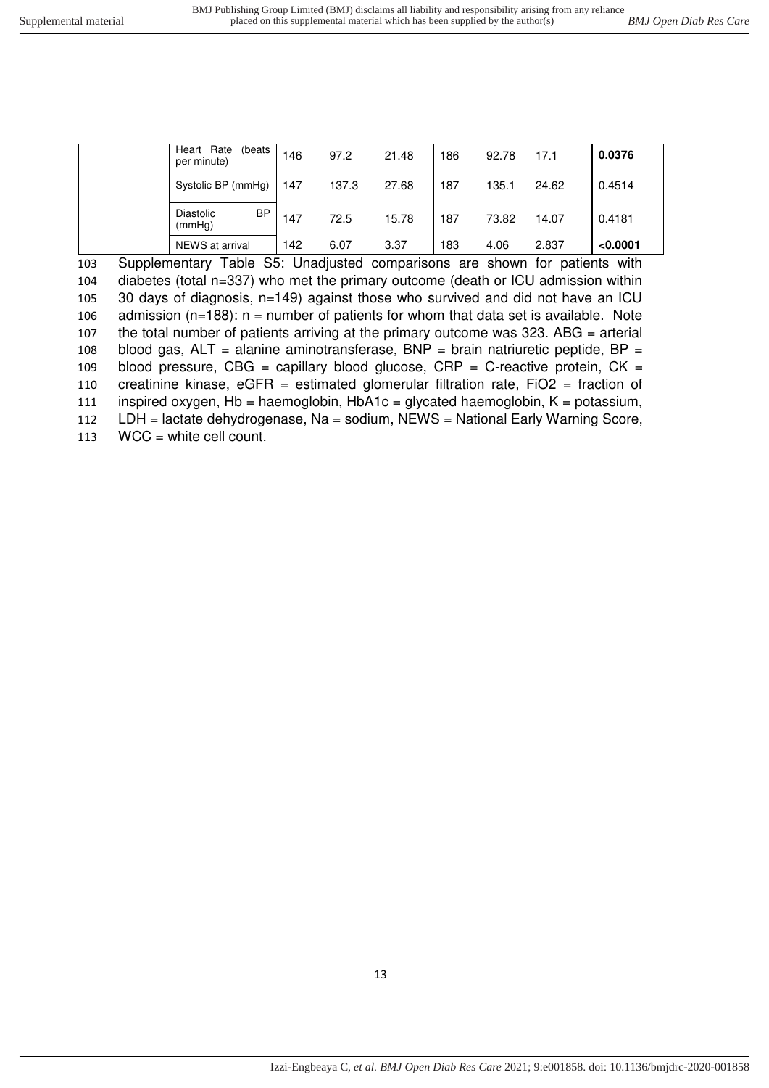| per minute)<br>Systolic BP (mmHg) | 147 | 137.3 | 27.68 | 187 | 135.1 | 24.62 | 0.4514   |
|-----------------------------------|-----|-------|-------|-----|-------|-------|----------|
| <b>BP</b><br>Diastolic<br>(mmHg)  | 147 | 72.5  | 15.78 | 187 | 73.82 | 14.07 | 0.4181   |
| NEWS at arrival                   | 142 | 6.07  | 3.37  | 183 | 4.06  | 2.837 | < 0.0001 |

 Supplementary Table S5: Unadjusted comparisons are shown for patients with diabetes (total n=337) who met the primary outcome (death or ICU admission within 30 days of diagnosis, n=149) against those who survived and did not have an ICU 106 admission ( $n=188$ ): n = number of patients for whom that data set is available. Note the total number of patients arriving at the primary outcome was 323. ABG = arterial 108 blood gas,  $ALT =$  alanine aminotransferase,  $BNP =$  brain natriuretic peptide,  $BP =$ 109 blood pressure, CBG = capillary blood glucose, CRP = C-reactive protein, CK = creatinine kinase, eGFR = estimated glomerular filtration rate, FiO2 = fraction of inspired oxygen, Hb = haemoglobin, HbA1c = glycated haemoglobin, K = potassium, LDH = lactate dehydrogenase, Na = sodium, NEWS = National Early Warning Score, WCC = white cell count.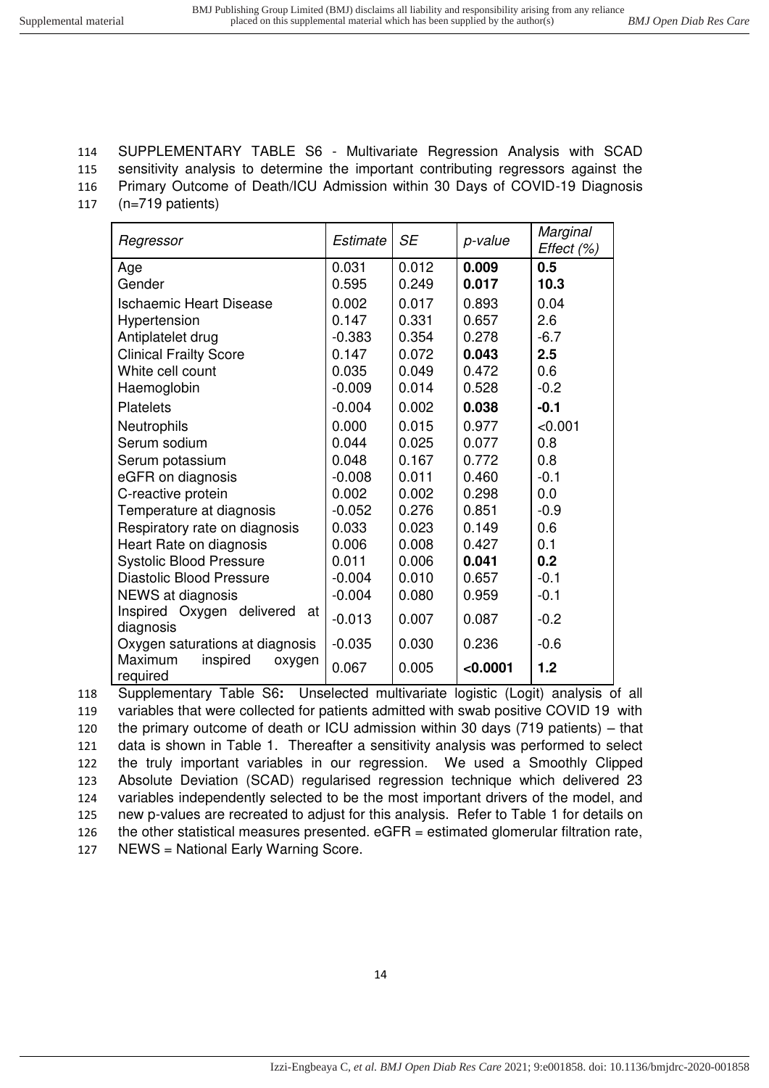## 114 SUPPLEMENTARY TABLE S6 - Multivariate Regression Analysis with SCAD

115 sensitivity analysis to determine the important contributing regressors against the 116 Primary Outcome of Death/ICU Admission within 30 Days of COVID-19 Diagnosis

- 
- 117 (n=719 patients)

| Regressor                                    | Estimate | <b>SE</b> | p-value  | Marginal<br>Effect (%) |
|----------------------------------------------|----------|-----------|----------|------------------------|
| Age                                          | 0.031    | 0.012     | 0.009    | 0.5                    |
| Gender                                       | 0.595    | 0.249     | 0.017    | 10.3                   |
| <b>Ischaemic Heart Disease</b>               | 0.002    | 0.017     | 0.893    | 0.04                   |
| Hypertension                                 | 0.147    | 0.331     | 0.657    | 2.6                    |
| Antiplatelet drug                            | $-0.383$ | 0.354     | 0.278    | $-6.7$                 |
| <b>Clinical Frailty Score</b>                | 0.147    | 0.072     | 0.043    | 2.5                    |
| White cell count                             | 0.035    | 0.049     | 0.472    | 0.6                    |
| Haemoglobin                                  | $-0.009$ | 0.014     | 0.528    | $-0.2$                 |
| <b>Platelets</b>                             | $-0.004$ | 0.002     | 0.038    | $-0.1$                 |
| <b>Neutrophils</b>                           | 0.000    | 0.015     | 0.977    | < 0.001                |
| Serum sodium                                 | 0.044    | 0.025     | 0.077    | 0.8                    |
| Serum potassium                              | 0.048    | 0.167     | 0.772    | 0.8                    |
| eGFR on diagnosis                            | $-0.008$ | 0.011     | 0.460    | $-0.1$                 |
| C-reactive protein                           | 0.002    | 0.002     | 0.298    | 0.0                    |
| Temperature at diagnosis                     | $-0.052$ | 0.276     | 0.851    | $-0.9$                 |
| Respiratory rate on diagnosis                | 0.033    | 0.023     | 0.149    | 0.6                    |
| Heart Rate on diagnosis                      | 0.006    | 0.008     | 0.427    | 0.1                    |
| <b>Systolic Blood Pressure</b>               | 0.011    | 0.006     | 0.041    | 0.2                    |
| <b>Diastolic Blood Pressure</b>              | $-0.004$ | 0.010     | 0.657    | $-0.1$                 |
| NEWS at diagnosis                            | $-0.004$ | 0.080     | 0.959    | $-0.1$                 |
| Inspired Oxygen delivered<br>at<br>diagnosis | $-0.013$ | 0.007     | 0.087    | $-0.2$                 |
| Oxygen saturations at diagnosis              | $-0.035$ | 0.030     | 0.236    | $-0.6$                 |
| Maximum<br>inspired<br>oxygen<br>required    | 0.067    | 0.005     | < 0.0001 | 1.2                    |

 Supplementary Table S6**:** Unselected multivariate logistic (Logit) analysis of all variables that were collected for patients admitted with swab positive COVID 19 with the primary outcome of death or ICU admission within 30 days (719 patients) – that data is shown in Table 1. Thereafter a sensitivity analysis was performed to select the truly important variables in our regression. We used a Smoothly Clipped Absolute Deviation (SCAD) regularised regression technique which delivered 23 124 variables independently selected to be the most important drivers of the model, and new p-values are recreated to adjust for this analysis. Refer to Table 1 for details on the other statistical measures presented. eGFR = estimated glomerular filtration rate, NEWS = National Early Warning Score.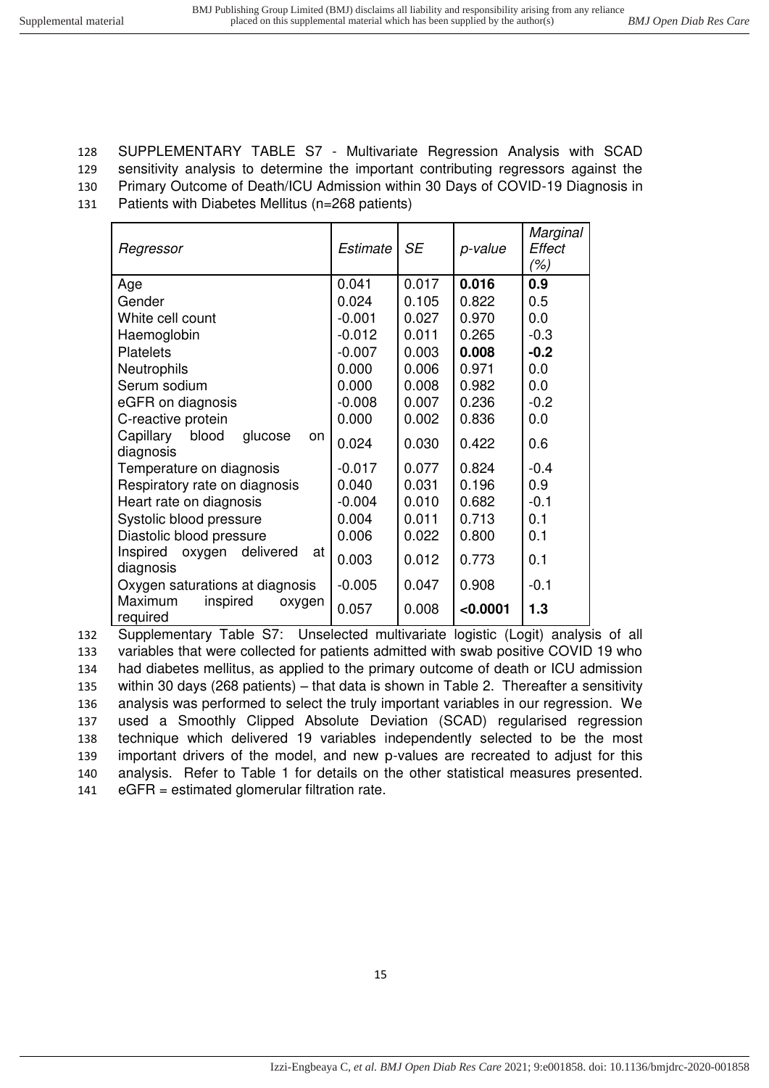# 128 SUPPLEMENTARY TABLE S7 - Multivariate Regression Analysis with SCAD

129 sensitivity analysis to determine the important contributing regressors against the

130 Primary Outcome of Death/ICU Admission within 30 Days of COVID-19 Diagnosis in

131 Patients with Diabetes Mellitus (n=268 patients)

| Regressor                                        | Estimate | <b>SE</b> | p-value  | Marginal<br>Effect<br>(%) |
|--------------------------------------------------|----------|-----------|----------|---------------------------|
| Age                                              | 0.041    | 0.017     | 0.016    | 0.9                       |
| Gender                                           | 0.024    | 0.105     | 0.822    | 0.5                       |
| White cell count                                 | $-0.001$ | 0.027     | 0.970    | 0.0                       |
| Haemoglobin                                      | $-0.012$ | 0.011     | 0.265    | $-0.3$                    |
| <b>Platelets</b>                                 | $-0.007$ | 0.003     | 0.008    | $-0.2$                    |
| <b>Neutrophils</b>                               | 0.000    | 0.006     | 0.971    | 0.0                       |
| Serum sodium                                     | 0.000    | 0.008     | 0.982    | 0.0                       |
| eGFR on diagnosis                                | $-0.008$ | 0.007     | 0.236    | $-0.2$                    |
| C-reactive protein                               | 0.000    | 0.002     | 0.836    | 0.0                       |
| Capillary<br>blood<br>glucose<br>on<br>diagnosis | 0.024    | 0.030     | 0.422    | 0.6                       |
| Temperature on diagnosis                         | $-0.017$ | 0.077     | 0.824    | $-0.4$                    |
| Respiratory rate on diagnosis                    | 0.040    | 0.031     | 0.196    | 0.9                       |
| Heart rate on diagnosis                          | $-0.004$ | 0.010     | 0.682    | $-0.1$                    |
| Systolic blood pressure                          | 0.004    | 0.011     | 0.713    | 0.1                       |
| Diastolic blood pressure                         | 0.006    | 0.022     | 0.800    | 0.1                       |
| oxygen delivered<br>Inspired<br>at<br>diagnosis  | 0.003    | 0.012     | 0.773    | 0.1                       |
| Oxygen saturations at diagnosis                  | $-0.005$ | 0.047     | 0.908    | $-0.1$                    |
| Maximum<br>inspired<br>oxygen<br>required        | 0.057    | 0.008     | < 0.0001 | 1.3                       |

 Supplementary Table S7: Unselected multivariate logistic (Logit) analysis of all variables that were collected for patients admitted with swab positive COVID 19 who had diabetes mellitus, as applied to the primary outcome of death or ICU admission within 30 days (268 patients) – that data is shown in Table 2. Thereafter a sensitivity analysis was performed to select the truly important variables in our regression. We used a Smoothly Clipped Absolute Deviation (SCAD) regularised regression technique which delivered 19 variables independently selected to be the most important drivers of the model, and new p-values are recreated to adjust for this analysis. Refer to Table 1 for details on the other statistical measures presented. eGFR = estimated glomerular filtration rate.